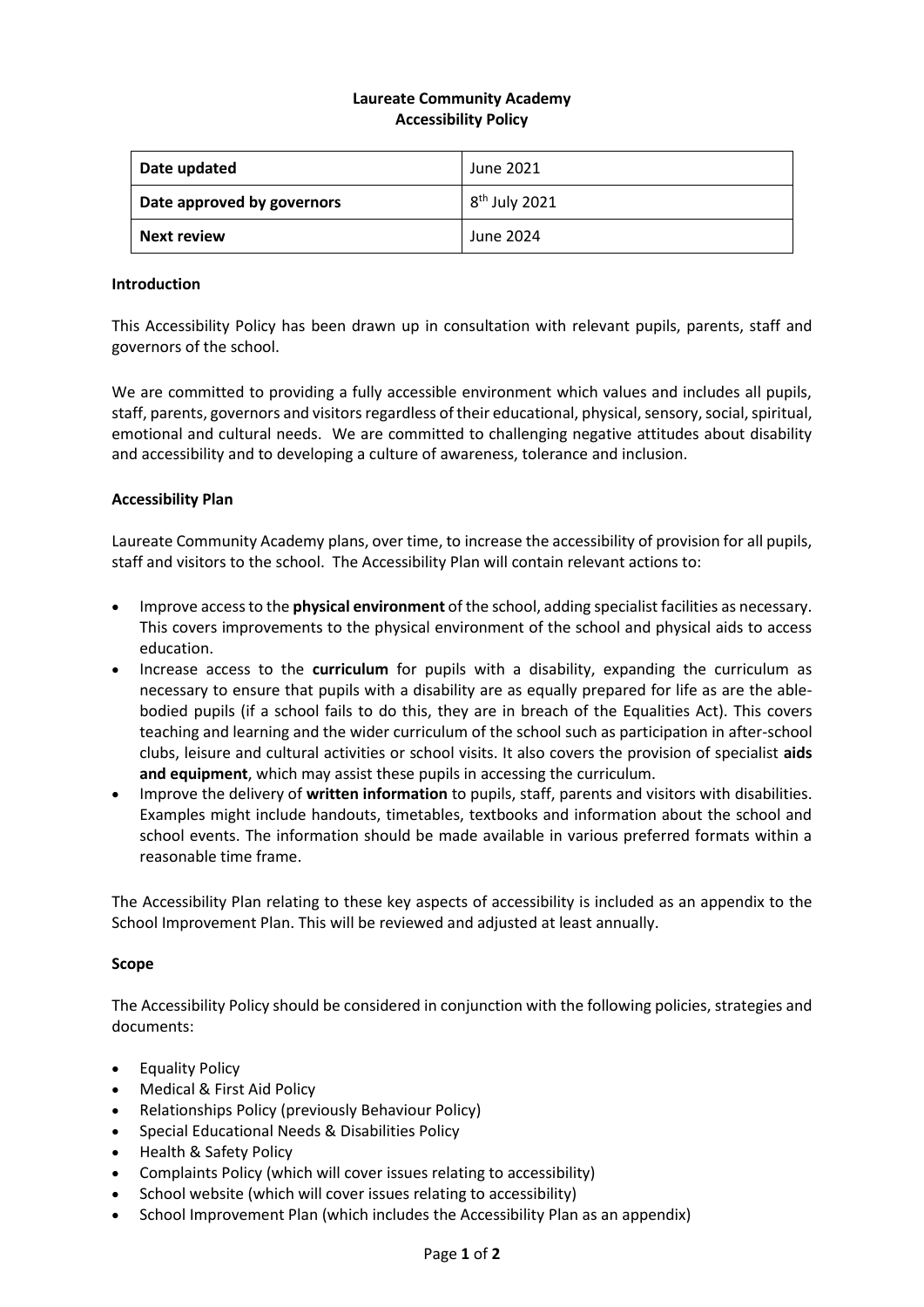# **Laureate Community Academy Accessibility Policy**

| Date updated               | June 2021       |
|----------------------------|-----------------|
| Date approved by governors | $8th$ July 2021 |
| Next review                | June 2024       |

### **Introduction**

This Accessibility Policy has been drawn up in consultation with relevant pupils, parents, staff and governors of the school.

We are committed to providing a fully accessible environment which values and includes all pupils, staff, parents, governors and visitors regardless of their educational, physical, sensory, social, spiritual, emotional and cultural needs. We are committed to challenging negative attitudes about disability and accessibility and to developing a culture of awareness, tolerance and inclusion.

## **Accessibility Plan**

Laureate Community Academy plans, over time, to increase the accessibility of provision for all pupils, staff and visitors to the school. The Accessibility Plan will contain relevant actions to:

- Improve access to the **physical environment** of the school, adding specialist facilities as necessary. This covers improvements to the physical environment of the school and physical aids to access education.
- Increase access to the **curriculum** for pupils with a disability, expanding the curriculum as necessary to ensure that pupils with a disability are as equally prepared for life as are the ablebodied pupils (if a school fails to do this, they are in breach of the Equalities Act). This covers teaching and learning and the wider curriculum of the school such as participation in after-school clubs, leisure and cultural activities or school visits. It also covers the provision of specialist **aids and equipment**, which may assist these pupils in accessing the curriculum.
- Improve the delivery of **written information** to pupils, staff, parents and visitors with disabilities. Examples might include handouts, timetables, textbooks and information about the school and school events. The information should be made available in various preferred formats within a reasonable time frame.

The Accessibility Plan relating to these key aspects of accessibility is included as an appendix to the School Improvement Plan. This will be reviewed and adjusted at least annually.

### **Scope**

The Accessibility Policy should be considered in conjunction with the following policies, strategies and documents:

- Equality Policy
- Medical & First Aid Policy
- Relationships Policy (previously Behaviour Policy)
- Special Educational Needs & Disabilities Policy
- Health & Safety Policy
- Complaints Policy (which will cover issues relating to accessibility)
- School website (which will cover issues relating to accessibility)
- School Improvement Plan (which includes the Accessibility Plan as an appendix)